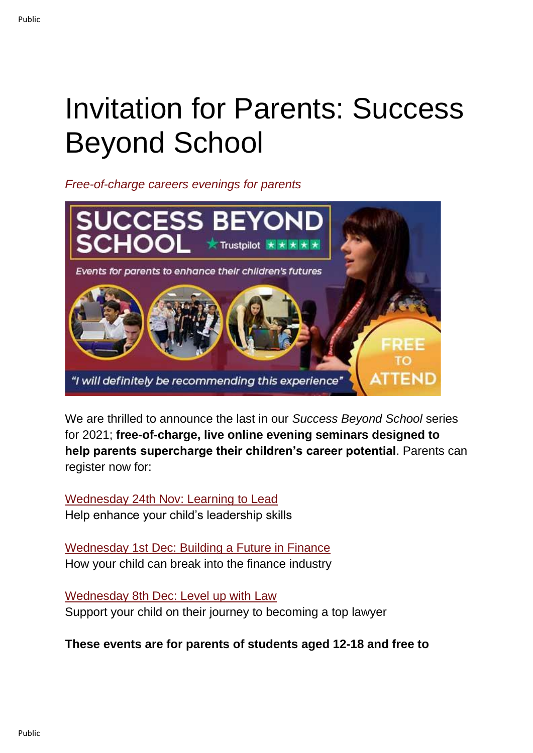## Invitation for Parents: Success Beyond School

*Free-of-charge careers evenings for parents*



We are thrilled to announce the last in our *Success Beyond School* series for 2021; **free-of-charge, live online evening seminars designed to help parents supercharge their children's career potential**. Parents can register now for:

[Wednesday 24th Nov: Learning to Lead](https://us02web.zoom.us/webinar/register/WN_kfRAhrmBTtyrWnLnnrzSsg) Help enhance your child's leadership skills

[Wednesday 1st Dec: Building a Future in Finance](https://us02web.zoom.us/webinar/register/WN_ZoggcIqYS5OODpM-ulhYvQ) How your child can break into the finance industry

[Wednesday 8th Dec: Level up with Law](https://us02web.zoom.us/webinar/register/WN_MNe_upKPQ6ORkRN7RDj4ow) Support your child on their journey to becoming a top lawyer

**These events are for parents of students aged 12-18 and free to**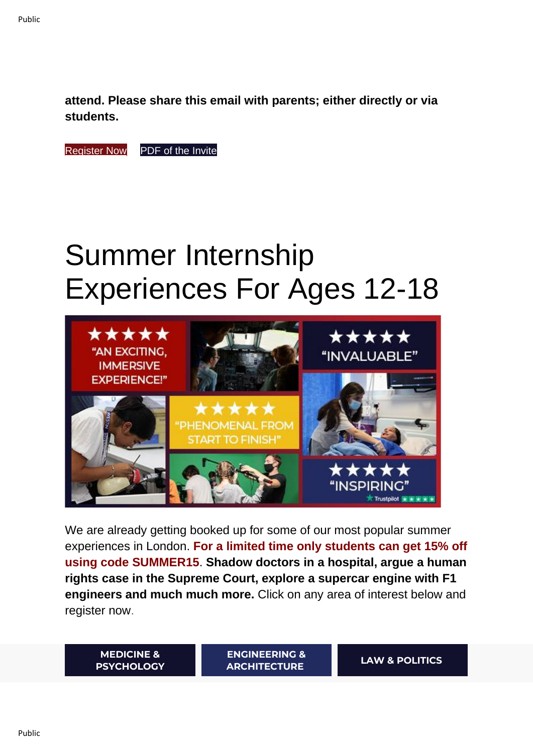**attend. Please share this email with parents; either directly or via students.**

[Register Now](https://investin.org/pages/parent-events) [PDF of the Invite](https://docsend.com/view/q55jedws25b4qrbx)

## Summer Internship Experiences For Ages 12-18



We are already getting booked up for some of our most popular summer experiences in London. **For a limited time only students can get 15% off using code SUMMER15**. **Shadow doctors in a hospital, argue a human rights case in the Supreme Court, explore a supercar engine with F1 engineers and much much more.** Click on any area of interest below and register now.

**[MEDICINE &](https://investin.org/pages/choose-your-medicine-summer-experience)  [PSYCHOLOGY](https://investin.org/pages/choose-your-medicine-summer-experience)** **[ENGINEERING &](https://investin.org/pages/choose-your-engineering-architecture-summer-experience)  [ARCHITECTURE](https://investin.org/pages/choose-your-engineering-architecture-summer-experience) [LAW & POLITICS](https://investin.org/pages/choose-your-law-politics-summer-experience)**